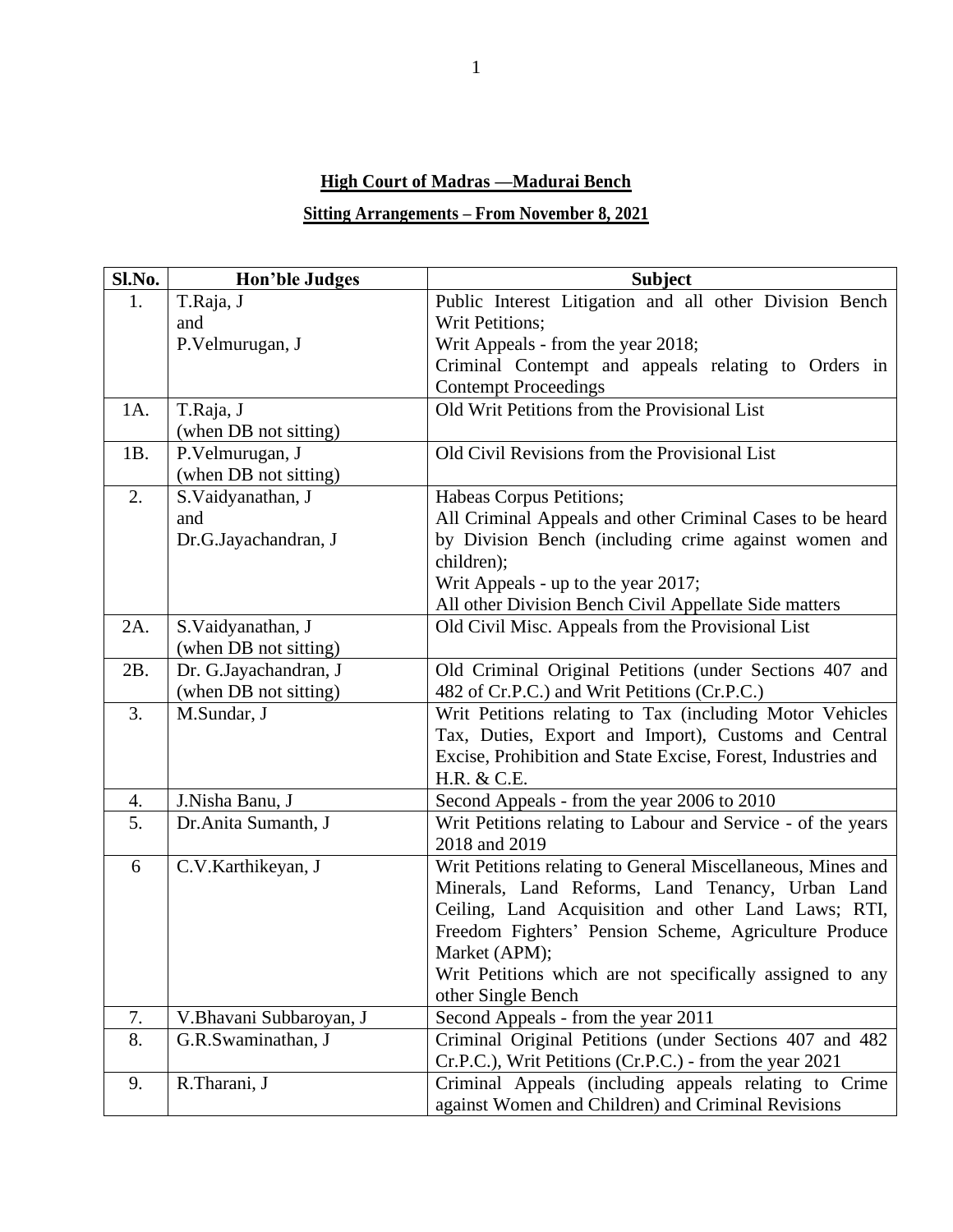## **High Court of Madras —Madurai Bench**

## **Sitting Arrangements – From November 8, 2021**

| Sl.No.   | <b>Hon'ble Judges</b>   | <b>Subject</b>                                                                                                  |
|----------|-------------------------|-----------------------------------------------------------------------------------------------------------------|
| 1.       | T.Raja, J               | Public Interest Litigation and all other Division Bench                                                         |
|          | and                     | Writ Petitions;                                                                                                 |
|          | P.Velmurugan, J         | Writ Appeals - from the year 2018;                                                                              |
|          |                         | Criminal Contempt and appeals relating to Orders in                                                             |
|          |                         | <b>Contempt Proceedings</b>                                                                                     |
| 1A.      | T.Raja, J               | Old Writ Petitions from the Provisional List                                                                    |
|          | (when DB not sitting)   |                                                                                                                 |
| 1B.      | P.Velmurugan, J         | Old Civil Revisions from the Provisional List                                                                   |
|          | (when DB not sitting)   |                                                                                                                 |
| 2.       | S.Vaidyanathan, J       | Habeas Corpus Petitions;                                                                                        |
|          | and                     | All Criminal Appeals and other Criminal Cases to be heard                                                       |
|          | Dr.G.Jayachandran, J    | by Division Bench (including crime against women and                                                            |
|          |                         | children);                                                                                                      |
|          |                         | Writ Appeals - up to the year 2017;                                                                             |
|          |                         | All other Division Bench Civil Appellate Side matters                                                           |
| 2A.      | S.Vaidyanathan, J       | Old Civil Misc. Appeals from the Provisional List                                                               |
|          | (when DB not sitting)   |                                                                                                                 |
| 2B.      | Dr. G.Jayachandran, J   | Old Criminal Original Petitions (under Sections 407 and                                                         |
|          | (when DB not sitting)   | 482 of Cr.P.C.) and Writ Petitions (Cr.P.C.)                                                                    |
| 3.       | M.Sundar, J             | Writ Petitions relating to Tax (including Motor Vehicles                                                        |
|          |                         | Tax, Duties, Export and Import), Customs and Central                                                            |
|          |                         | Excise, Prohibition and State Excise, Forest, Industries and                                                    |
|          |                         | H.R. & C.E.                                                                                                     |
| 4.<br>5. | J.Nisha Banu, J         | Second Appeals - from the year 2006 to 2010                                                                     |
|          | Dr.Anita Sumanth, J     | Writ Petitions relating to Labour and Service - of the years<br>2018 and 2019                                   |
| 6        |                         |                                                                                                                 |
|          | C.V.Karthikeyan, J      | Writ Petitions relating to General Miscellaneous, Mines and<br>Minerals, Land Reforms, Land Tenancy, Urban Land |
|          |                         | Ceiling, Land Acquisition and other Land Laws; RTI,                                                             |
|          |                         | Freedom Fighters' Pension Scheme, Agriculture Produce                                                           |
|          |                         | Market (APM);                                                                                                   |
|          |                         | Writ Petitions which are not specifically assigned to any                                                       |
|          |                         | other Single Bench                                                                                              |
| 7.       | V.Bhavani Subbaroyan, J | Second Appeals - from the year 2011                                                                             |
| 8.       | G.R.Swaminathan, J      | Criminal Original Petitions (under Sections 407 and 482                                                         |
|          |                         | Cr.P.C.), Writ Petitions (Cr.P.C.) - from the year 2021                                                         |
| 9.       | R.Tharani, J            | Criminal Appeals (including appeals relating to Crime                                                           |
|          |                         | against Women and Children) and Criminal Revisions                                                              |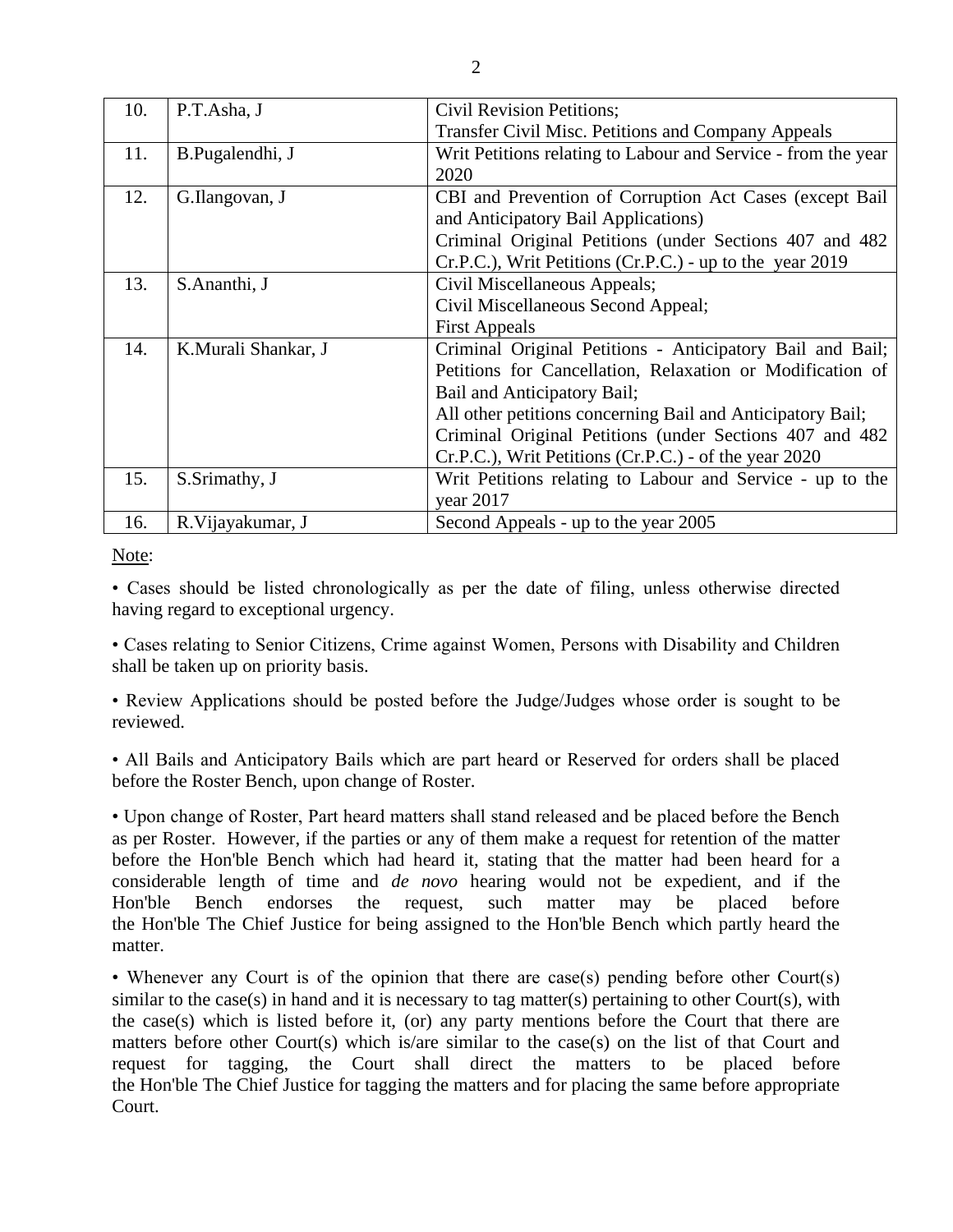| 10. | P.T.Asha, J         | Civil Revision Petitions;                                     |
|-----|---------------------|---------------------------------------------------------------|
|     |                     | <b>Transfer Civil Misc. Petitions and Company Appeals</b>     |
| 11. | B.Pugalendhi, J     | Writ Petitions relating to Labour and Service - from the year |
|     |                     | 2020                                                          |
| 12. | G.Ilangovan, J      | CBI and Prevention of Corruption Act Cases (except Bail       |
|     |                     | and Anticipatory Bail Applications)                           |
|     |                     | Criminal Original Petitions (under Sections 407 and 482       |
|     |                     | Cr.P.C.), Writ Petitions (Cr.P.C.) - up to the year 2019      |
| 13. | S.Ananthi, J        | Civil Miscellaneous Appeals;                                  |
|     |                     | Civil Miscellaneous Second Appeal;                            |
|     |                     | <b>First Appeals</b>                                          |
| 14. | K.Murali Shankar, J | Criminal Original Petitions - Anticipatory Bail and Bail;     |
|     |                     | Petitions for Cancellation, Relaxation or Modification of     |
|     |                     | Bail and Anticipatory Bail;                                   |
|     |                     | All other petitions concerning Bail and Anticipatory Bail;    |
|     |                     | Criminal Original Petitions (under Sections 407 and 482)      |
|     |                     | Cr.P.C.), Writ Petitions (Cr.P.C.) - of the year 2020         |
| 15. | S.Srimathy, J       | Writ Petitions relating to Labour and Service - up to the     |
|     |                     | vear $2017$                                                   |
| 16. | R. Vijayakumar, J   | Second Appeals - up to the year 2005                          |

Note:

• Cases should be listed chronologically as per the date of filing, unless otherwise directed having regard to exceptional urgency.

• Cases relating to Senior Citizens, Crime against Women, Persons with Disability and Children shall be taken up on priority basis.

• Review Applications should be posted before the Judge/Judges whose order is sought to be reviewed.

• All Bails and Anticipatory Bails which are part heard or Reserved for orders shall be placed before the Roster Bench, upon change of Roster.

• Upon change of Roster, Part heard matters shall stand released and be placed before the Bench as per Roster. However, if the parties or any of them make a request for retention of the matter before the Hon'ble Bench which had heard it, stating that the matter had been heard for a considerable length of time and *de novo* hearing would not be expedient, and if the Hon'ble Bench endorses the request, such matter may be placed before the Hon'ble The Chief Justice for being assigned to the Hon'ble Bench which partly heard the matter.

• Whenever any Court is of the opinion that there are case(s) pending before other Court(s) similar to the case(s) in hand and it is necessary to tag matter(s) pertaining to other Court(s), with the case(s) which is listed before it, (or) any party mentions before the Court that there are matters before other Court(s) which is/are similar to the case(s) on the list of that Court and request for tagging, the Court shall direct the matters to be placed before the Hon'ble The Chief Justice for tagging the matters and for placing the same before appropriate Court.